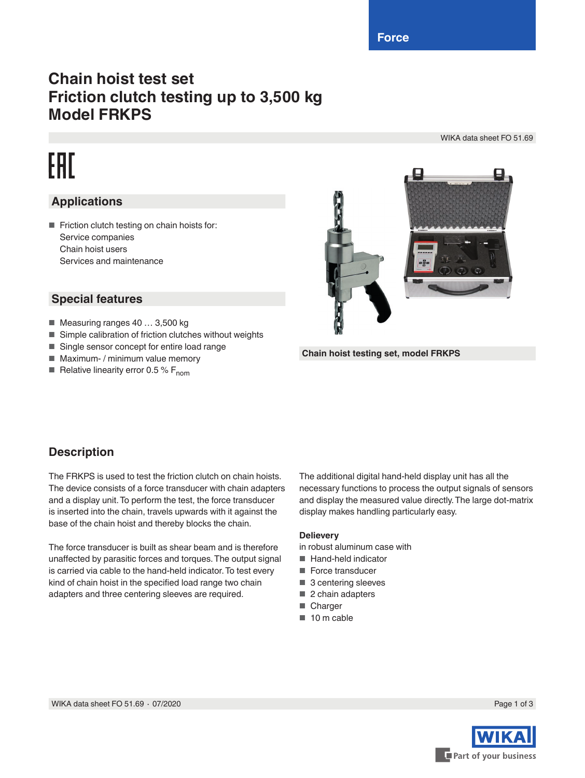**Force**

## **Chain hoist test set Friction clutch testing up to 3,500 kg Model FRKPS**

WIKA data sheet FO 51.69

# EAD

### **Applications**

■ Friction clutch testing on chain hoists for: Service companies Chain hoist users Services and maintenance

### **Special features**

- Measuring ranges 40 ... 3,500 kg
- Simple calibration of friction clutches without weights
- Single sensor concept for entire load range
- Maximum- / minimum value memory
- **Relative linearity error 0.5 % F<sub>nom</sub>**



**Chain hoist testing set, model FRKPS**

#### **Description**

The FRKPS is used to test the friction clutch on chain hoists. The device consists of a force transducer with chain adapters and a display unit. To perform the test, the force transducer is inserted into the chain, travels upwards with it against the base of the chain hoist and thereby blocks the chain.

The force transducer is built as shear beam and is therefore unaffected by parasitic forces and torques. The output signal is carried via cable to the hand-held indicator. To test every kind of chain hoist in the specified load range two chain adapters and three centering sleeves are required.

The additional digital hand-held display unit has all the necessary functions to process the output signals of sensors and display the measured value directly. The large dot-matrix display makes handling particularly easy.

#### **Delievery**

in robust aluminum case with

- Hand-held indicator
- Force transducer
- 3 centering sleeves
- 2 chain adapters
- Charger
- 10 m cable

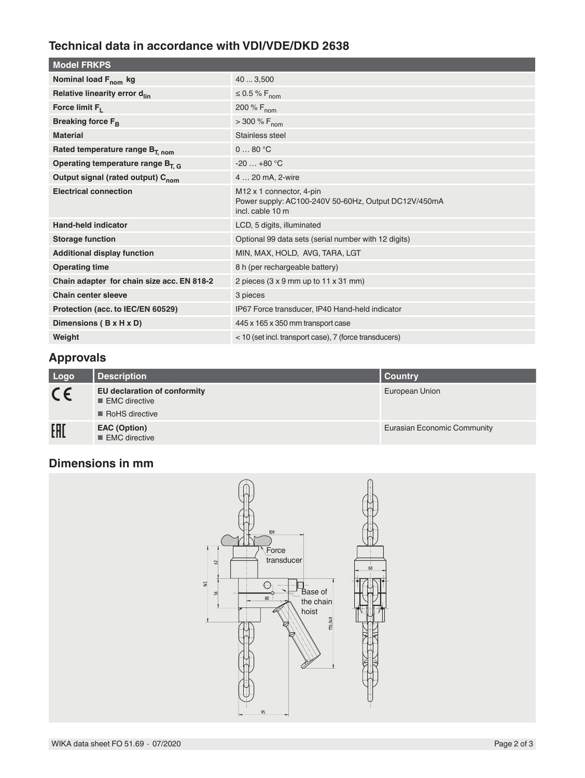### **Technical data in accordance with VDI/VDE/DKD 2638**

| <b>Model FRKPS</b>                            |                                                                                                                  |
|-----------------------------------------------|------------------------------------------------------------------------------------------------------------------|
| Nominal load F <sub>nom</sub> kg              | 40  3,500                                                                                                        |
| Relative linearity error d <sub>lin</sub>     | $\leq$ 0.5 % F <sub>nom</sub>                                                                                    |
| Force limit $F_L$                             | 200 % $F_{nom}$                                                                                                  |
| Breaking force F <sub>B</sub>                 | $> 300 \% F_{nom}$                                                                                               |
| <b>Material</b>                               | Stainless steel                                                                                                  |
| Rated temperature range B <sub>T. nom</sub>   | 080 °C                                                                                                           |
| Operating temperature range $B_{T,G}$         | $-20+80$ °C                                                                                                      |
| Output signal (rated output) C <sub>nom</sub> | 4  20 mA, 2-wire                                                                                                 |
| <b>Electrical connection</b>                  | M <sub>12</sub> x 1 connector, 4-pin<br>Power supply: AC100-240V 50-60Hz, Output DC12V/450mA<br>incl. cable 10 m |
| <b>Hand-held indicator</b>                    | LCD, 5 digits, illuminated                                                                                       |
| <b>Storage function</b>                       | Optional 99 data sets (serial number with 12 digits)                                                             |
| <b>Additional display function</b>            | MIN, MAX, HOLD, AVG, TARA, LGT                                                                                   |
| <b>Operating time</b>                         | 8 h (per rechargeable battery)                                                                                   |
| Chain adapter for chain size acc. EN 818-2    | 2 pieces (3 x 9 mm up to 11 x 31 mm)                                                                             |
| <b>Chain center sleeve</b>                    | 3 pieces                                                                                                         |
| Protection (acc. to IEC/EN 60529)             | IP67 Force transducer, IP40 Hand-held indicator                                                                  |
| Dimensions (B x H x D)                        | 445 x 165 x 350 mm transport case                                                                                |
| Weight                                        | < 10 (set incl. transport case), 7 (force transducers)                                                           |

#### **Approvals**

| Logo    | <b>Description</b>                                              | Country                     |
|---------|-----------------------------------------------------------------|-----------------------------|
| $C \in$ | EU declaration of conformity<br>EMC directive<br>RoHS directive | European Union              |
| EAL     | <b>EAC (Option)</b><br>$\blacksquare$ EMC directive             | Eurasian Economic Community |

## **Dimensions in mm**